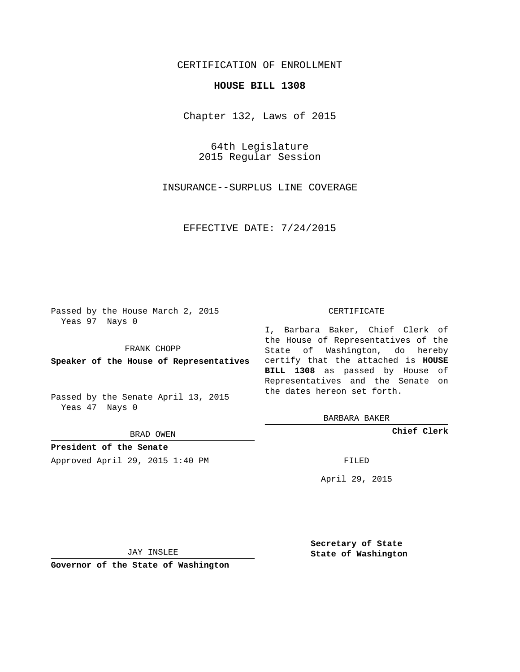## CERTIFICATION OF ENROLLMENT

## **HOUSE BILL 1308**

Chapter 132, Laws of 2015

64th Legislature 2015 Regular Session

INSURANCE--SURPLUS LINE COVERAGE

EFFECTIVE DATE: 7/24/2015

Passed by the House March 2, 2015 Yeas 97 Nays 0

FRANK CHOPP

Passed by the Senate April 13, 2015 Yeas 47 Nays 0

BRAD OWEN

**President of the Senate**

Approved April 29, 2015 1:40 PM FILED

## CERTIFICATE

**Speaker of the House of Representatives** certify that the attached is **HOUSE** I, Barbara Baker, Chief Clerk of the House of Representatives of the State of Washington, do hereby **BILL 1308** as passed by House of Representatives and the Senate on the dates hereon set forth.

BARBARA BAKER

**Chief Clerk**

April 29, 2015

JAY INSLEE

**Governor of the State of Washington**

**Secretary of State State of Washington**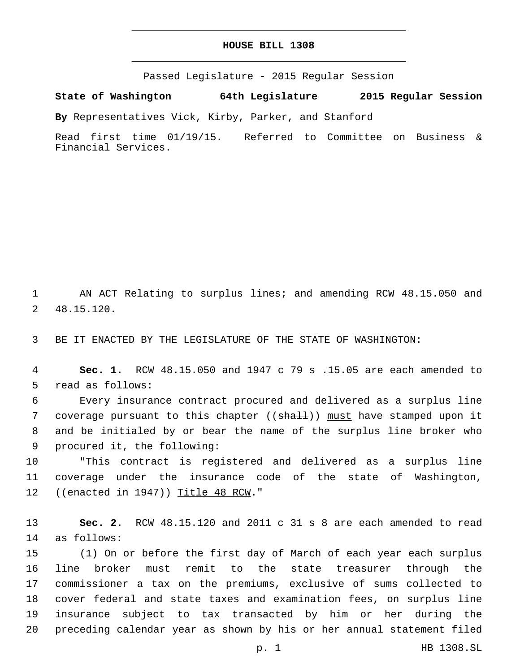## **HOUSE BILL 1308**

Passed Legislature - 2015 Regular Session

**State of Washington 64th Legislature 2015 Regular Session**

**By** Representatives Vick, Kirby, Parker, and Stanford

Read first time 01/19/15. Referred to Committee on Business & Financial Services.

1 AN ACT Relating to surplus lines; and amending RCW 48.15.050 and 48.15.120.2

3 BE IT ENACTED BY THE LEGISLATURE OF THE STATE OF WASHINGTON:

4 **Sec. 1.** RCW 48.15.050 and 1947 c 79 s .15.05 are each amended to 5 read as follows:

6 Every insurance contract procured and delivered as a surplus line 7 coverage pursuant to this chapter ((shall)) must have stamped upon it 8 and be initialed by or bear the name of the surplus line broker who 9 procured it, the following:

10 "This contract is registered and delivered as a surplus line 11 coverage under the insurance code of the state of Washington, 12 ((enacted in 1947)) Title 48 RCW."

13 **Sec. 2.** RCW 48.15.120 and 2011 c 31 s 8 are each amended to read 14 as follows:

 (1) On or before the first day of March of each year each surplus line broker must remit to the state treasurer through the commissioner a tax on the premiums, exclusive of sums collected to cover federal and state taxes and examination fees, on surplus line insurance subject to tax transacted by him or her during the preceding calendar year as shown by his or her annual statement filed